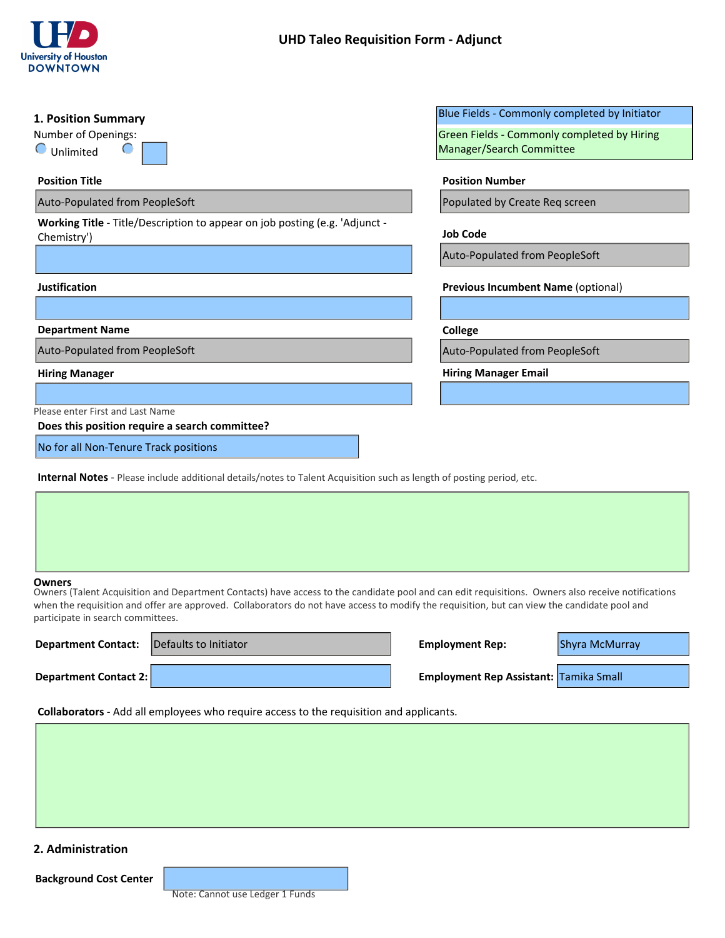

| 1. Position Summary                                                                                                                                                                                                                                                                                                                               | Blue Fields - Commonly completed by Initiator |
|---------------------------------------------------------------------------------------------------------------------------------------------------------------------------------------------------------------------------------------------------------------------------------------------------------------------------------------------------|-----------------------------------------------|
| Number of Openings:                                                                                                                                                                                                                                                                                                                               | Green Fields - Commonly completed by Hiring   |
| $\bigcirc$<br>Unlimited                                                                                                                                                                                                                                                                                                                           | Manager/Search Committee                      |
| <b>Position Title</b>                                                                                                                                                                                                                                                                                                                             | <b>Position Number</b>                        |
| Auto-Populated from PeopleSoft                                                                                                                                                                                                                                                                                                                    | Populated by Create Req screen                |
| Working Title - Title/Description to appear on job posting (e.g. 'Adjunct -<br>Chemistry')                                                                                                                                                                                                                                                        | <b>Job Code</b>                               |
|                                                                                                                                                                                                                                                                                                                                                   | Auto-Populated from PeopleSoft                |
| <b>Justification</b>                                                                                                                                                                                                                                                                                                                              | Previous Incumbent Name (optional)            |
|                                                                                                                                                                                                                                                                                                                                                   | $\vert \mathbf{v} \vert$                      |
| <b>Department Name</b>                                                                                                                                                                                                                                                                                                                            | College                                       |
| Auto-Populated from PeopleSoft                                                                                                                                                                                                                                                                                                                    | Auto-Populated from PeopleSoft                |
| <b>Hiring Manager</b>                                                                                                                                                                                                                                                                                                                             | <b>Hiring Manager Email</b>                   |
|                                                                                                                                                                                                                                                                                                                                                   |                                               |
| Please enter First and Last Name<br>Does this position require a search committee?                                                                                                                                                                                                                                                                |                                               |
| No for all Non-Tenure Track positions                                                                                                                                                                                                                                                                                                             |                                               |
| <b>Internal Notes</b> - Please include additional details/notes to Talent Acquisition such as length of posting period, etc.                                                                                                                                                                                                                      |                                               |
|                                                                                                                                                                                                                                                                                                                                                   |                                               |
|                                                                                                                                                                                                                                                                                                                                                   |                                               |
|                                                                                                                                                                                                                                                                                                                                                   |                                               |
|                                                                                                                                                                                                                                                                                                                                                   |                                               |
| Owners<br>Owners (Talent Acquisition and Department Contacts) have access to the candidate pool and can edit requisitions. Owners also receive notifications<br>when the requisition and offer are approved. Collaborators do not have access to modify the requisition, but can view the candidate pool and<br>participate in search committees. |                                               |
| Defaults to Initiator<br><b>Department Contact:</b>                                                                                                                                                                                                                                                                                               | <b>Employment Rep:</b><br>Shyra McMurray      |
| <b>Department Contact 2:</b>                                                                                                                                                                                                                                                                                                                      | Employment Rep Assistant: Tamika Small        |

| <b>Department Contact:</b> | Defaults to Initiator | <b>Employment Rep:</b>                        | Shyra McMurray |
|----------------------------|-----------------------|-----------------------------------------------|----------------|
| Department Contact 2:      |                       | <b>Employment Rep Assistant: Tamika Small</b> |                |
|                            |                       |                                               |                |

**Collaborators** - Add all employees who require access to the requisition and applicants.

# **2. Administration**

**Background Cost Center**

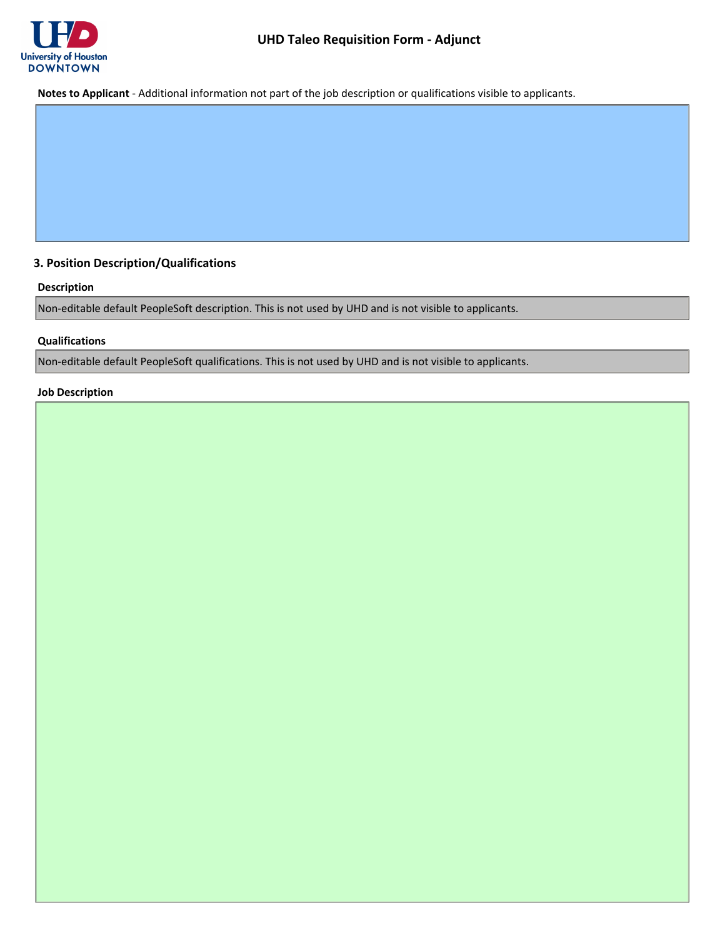

**Notes to Applicant** - Additional information not part of the job description or qualifications visible to applicants.

## **3. Position Description/Qualifications**

#### **Description**

Non-editable default PeopleSoft description. This is not used by UHD and is not visible to applicants.

#### **Qualifications**

Non-editable default PeopleSoft qualifications. This is not used by UHD and is not visible to applicants.

### **Job Description**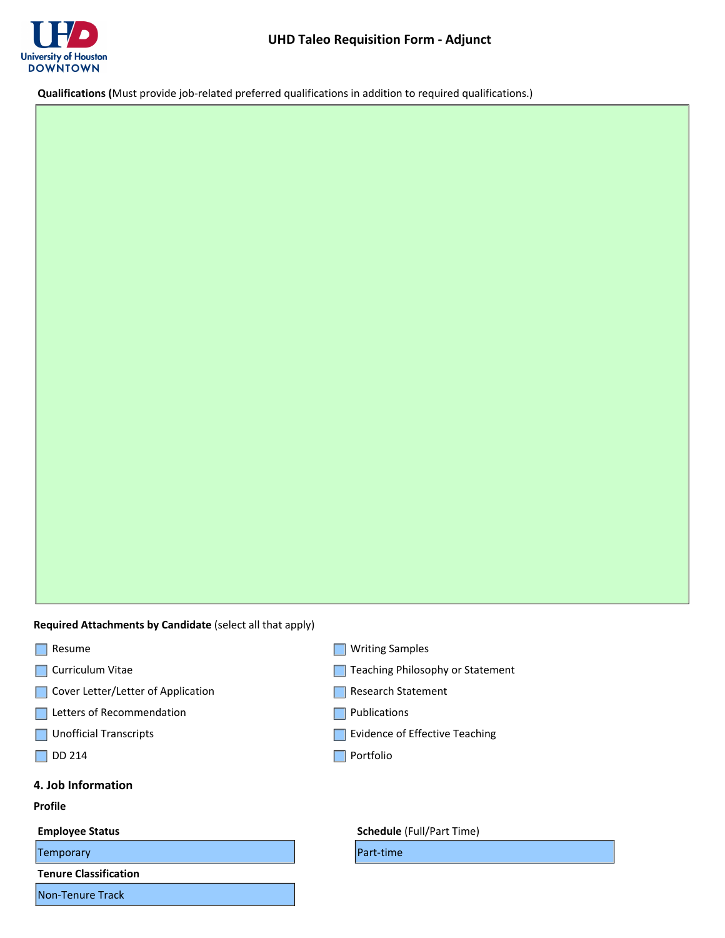

**Qualifications (**Must provide job-related preferred qualifications in addition to required qualifications.)

**Required Attachments by Candidate** (select all that apply)

- Resume
- **Curriculum Vitae**
- Cover Letter/Letter of Application
- Letters of Recommendation
- **Unofficial Transcripts**
- $\Box$  DD 214

#### **4. Job Information**

#### **Profile**

**Temporary Part-time** 

**Tenure Classification**

Non-Tenure Track

- **Writing Samples**
- Teaching Philosophy or Statement
- Research Statement
- **Publications**
- Evidence of Effective Teaching
- **Portfolio**

#### **Employee Status Employee Status Schedule** (Full/Part Time)